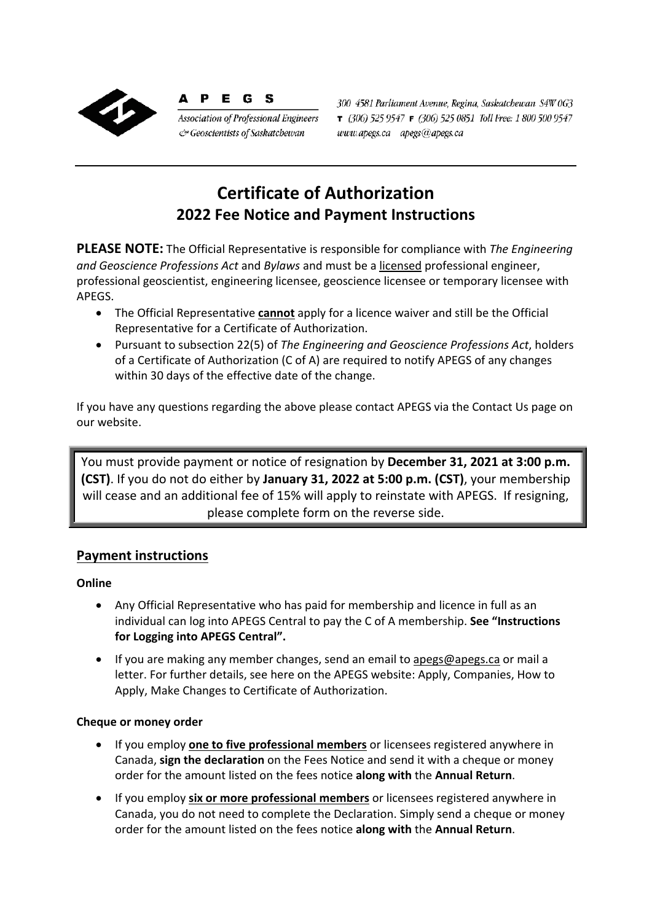

P E G S **Association of Professional Engineers** & Geoscientists of Saskatchewan

300 4581 Parliament Avenue, Regina, Saskatchewan S4W 0G3  $7$  (306) 525 9547  $F$  (306) 525 0851 Toll Free: 1 800 500 9547 www.apegs.ca apegs@apegs.ca

# **Certificate of Authorization 2022 Fee Notice and Payment Instructions**

**PLEASE NOTE:** The Official Representative is responsible for compliance with *The Engineering and Geoscience Professions Act* and *Bylaws* and must be a licensed professional engineer, professional geoscientist, engineering licensee, geoscience licensee or temporary licensee with APEGS.

- The Official Representative **cannot** apply for a licence waiver and still be the Official Representative for a Certificate of Authorization.
- Pursuant to subsection 22(5) of *The Engineering and Geoscience Professions Act*, holders of a Certificate of Authorization (C of A) are required to notify APEGS of any changes within 30 days of the effective date of the change.

If you have any questions regarding the above please contact APEGS via the Contact Us page on our website.

You must provide payment or notice of resignation by **December 31, 2021 at 3:00 p.m. (CST)**. If you do not do either by **January 31, 2022 at 5:00 p.m. (CST)**, your membership will cease and an additional fee of 15% will apply to reinstate with APEGS. If resigning, please complete form on the reverse side.

### **Payment instructions**

### **Online**

- Any Official Representative who has paid for membership and licence in full as an individual can log into APEGS Central to pay the C of A membership. **See "Instructions for Logging into APEGS Central".**
- If you are making any member changes, send an email to apegs@apegs.ca or mail a letter. For further details, see here on the APEGS website: Apply, Companies, How to Apply, Make Changes to Certificate of Authorization.

### **Cheque or money order**

- If you employ **one to five professional members** or licensees registered anywhere in Canada, **sign the declaration** on the Fees Notice and send it with a cheque or money order for the amount listed on the fees notice **along with** the **Annual Return**.
- If you employ **six or more professional members** or licensees registered anywhere in Canada, you do not need to complete the Declaration. Simply send a cheque or money order for the amount listed on the fees notice **along with** the **Annual Return**.